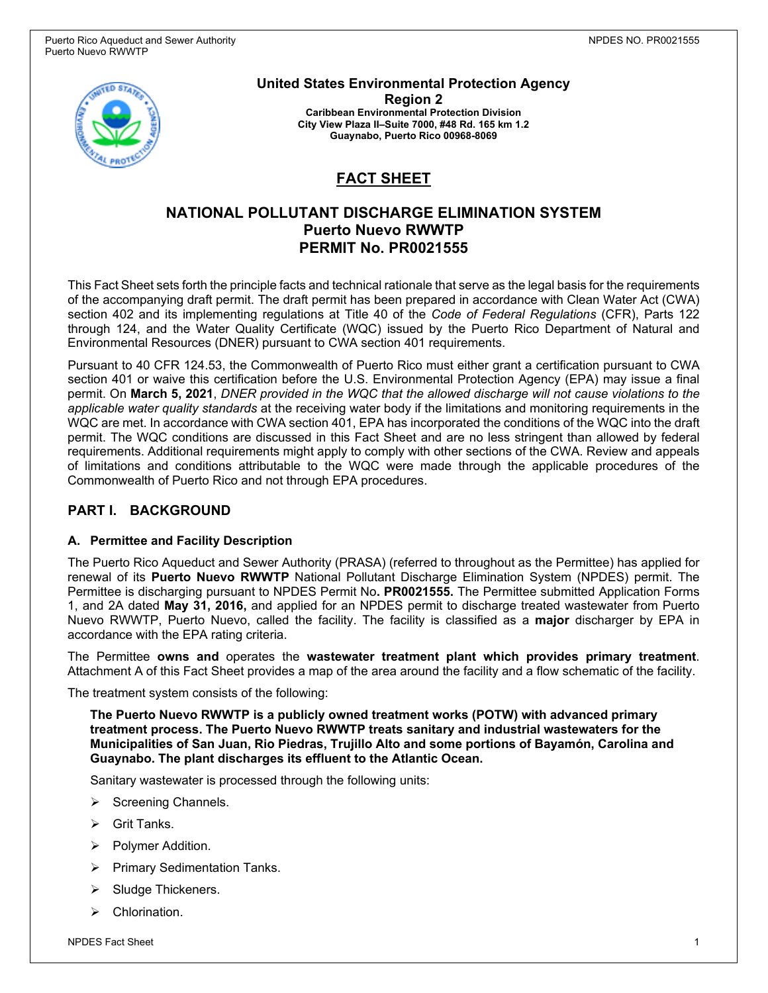

**United States Environmental Protection Agency Region 2 Caribbean Environmental Protection Division City View Plaza II–Suite 7000, #48 Rd. 165 km 1.2 Guaynabo, Puerto Rico 00968-8069**

# **FACT SHEET**

## **NATIONAL POLLUTANT DISCHARGE ELIMINATION SYSTEM Puerto Nuevo RWWTP PERMIT No. PR0021555**

This Fact Sheet sets forth the principle facts and technical rationale that serve as the legal basis for the requirements of the accompanying draft permit. The draft permit has been prepared in accordance with Clean Water Act (CWA) section 402 and its implementing regulations at Title 40 of the *Code of Federal Regulations* (CFR), Parts 122 through 124, and the Water Quality Certificate (WQC) issued by the Puerto Rico Department of Natural and Environmental Resources (DNER) pursuant to CWA section 401 requirements.

Pursuant to 40 CFR 124.53, the Commonwealth of Puerto Rico must either grant a certification pursuant to CWA section 401 or waive this certification before the U.S. Environmental Protection Agency (EPA) may issue a final permit. On **March 5, 2021**, *DNER provided in the WQC that the allowed discharge will not cause violations to the applicable water quality standards* at the receiving water body if the limitations and monitoring requirements in the WQC are met. In accordance with CWA section 401, EPA has incorporated the conditions of the WQC into the draft permit. The WQC conditions are discussed in this Fact Sheet and are no less stringent than allowed by federal requirements. Additional requirements might apply to comply with other sections of the CWA. Review and appeals of limitations and conditions attributable to the WQC were made through the applicable procedures of the Commonwealth of Puerto Rico and not through EPA procedures.

### **PART I. BACKGROUND**

#### **A. Permittee and Facility Description**

The Puerto Rico Aqueduct and Sewer Authority (PRASA) (referred to throughout as the Permittee) has applied for renewal of its **Puerto Nuevo RWWTP** National Pollutant Discharge Elimination System (NPDES) permit. The Permittee is discharging pursuant to NPDES Permit No**. PR0021555.** The Permittee submitted Application Forms 1, and 2A dated **May 31, 2016,** and applied for an NPDES permit to discharge treated wastewater from Puerto Nuevo RWWTP, Puerto Nuevo, called the facility. The facility is classified as a **major** discharger by EPA in accordance with the EPA rating criteria.

The Permittee **owns and** operates the **wastewater treatment plant which provides primary treatment**. Attachment A of this Fact Sheet provides a map of the area around the facility and a flow schematic of the facility.

The treatment system consists of the following:

**The Puerto Nuevo RWWTP is a publicly owned treatment works (POTW) with advanced primary treatment process. The Puerto Nuevo RWWTP treats sanitary and industrial wastewaters for the Municipalities of San Juan, Rio Piedras, Trujillo Alto and some portions of Bayamón, Carolina and Guaynabo. The plant discharges its effluent to the Atlantic Ocean.**

Sanitary wastewater is processed through the following units:

- $\triangleright$  Screening Channels.
- Grit Tanks.
- $\triangleright$  Polymer Addition.
- $\triangleright$  Primary Sedimentation Tanks.
- Sludge Thickeners.
- $\triangleright$  Chlorination.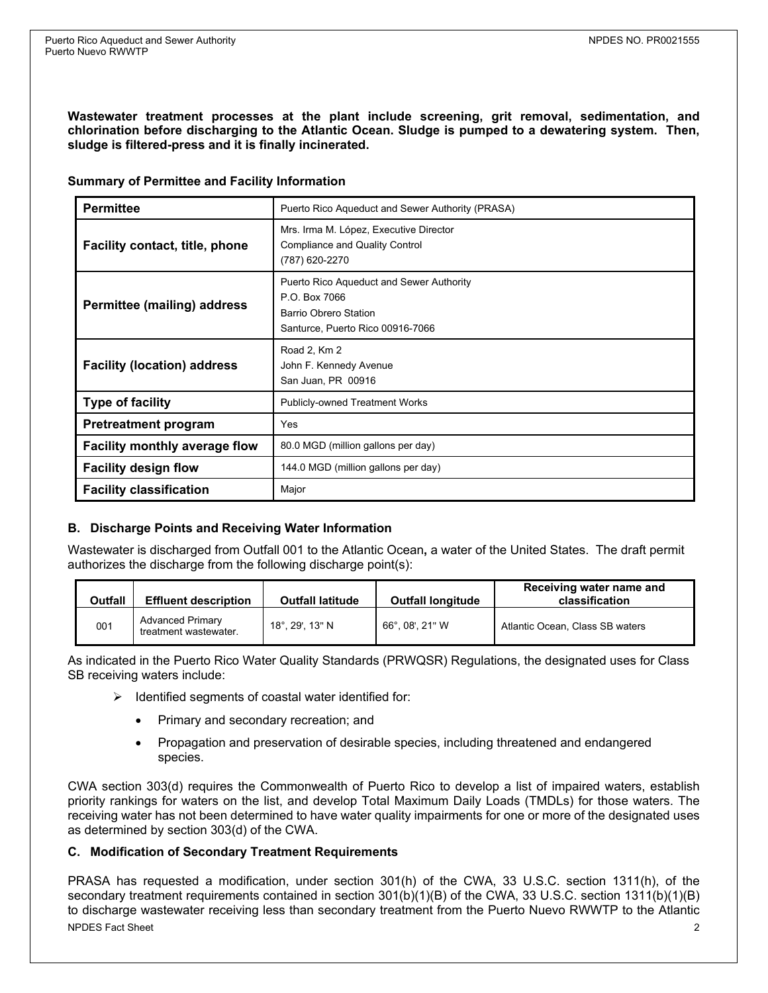**Wastewater treatment processes at the plant include screening, grit removal, sedimentation, and chlorination before discharging to the Atlantic Ocean. Sludge is pumped to a dewatering system. Then, sludge is filtered-press and it is finally incinerated.** 

|  |  |  |  |  | <b>Summary of Permittee and Facility Information</b> |
|--|--|--|--|--|------------------------------------------------------|
|--|--|--|--|--|------------------------------------------------------|

| <b>Permittee</b>                     | Puerto Rico Aqueduct and Sewer Authority (PRASA)                                                                      |  |  |
|--------------------------------------|-----------------------------------------------------------------------------------------------------------------------|--|--|
| Facility contact, title, phone       | Mrs. Irma M. López, Executive Director<br><b>Compliance and Quality Control</b><br>(787) 620-2270                     |  |  |
| Permittee (mailing) address          | Puerto Rico Aqueduct and Sewer Authority<br>P O Box 7066<br>Barrio Obrero Station<br>Santurce, Puerto Rico 00916-7066 |  |  |
| <b>Facility (location) address</b>   | Road 2, Km 2<br>John F. Kennedy Avenue<br>San Juan, PR 00916                                                          |  |  |
| <b>Type of facility</b>              | <b>Publicly-owned Treatment Works</b>                                                                                 |  |  |
| <b>Pretreatment program</b>          | Yes                                                                                                                   |  |  |
| <b>Facility monthly average flow</b> | 80.0 MGD (million gallons per day)                                                                                    |  |  |
| <b>Facility design flow</b>          | 144.0 MGD (million gallons per day)                                                                                   |  |  |
| <b>Facility classification</b>       | Major                                                                                                                 |  |  |

#### **B. Discharge Points and Receiving Water Information**

Wastewater is discharged from Outfall 001 to the Atlantic Ocean**,** a water of the United States. The draft permit authorizes the discharge from the following discharge point(s):

| <b>Outfall</b> | <b>Effluent description</b>                      | <b>Outfall latitude</b> | <b>Outfall longitude</b> | Receiving water name and<br>classification |
|----------------|--------------------------------------------------|-------------------------|--------------------------|--------------------------------------------|
| 001            | <b>Advanced Primary</b><br>treatment wastewater. | 18°. 29'. 13" N         | 66°.08'.21" W            | Atlantic Ocean, Class SB waters            |

As indicated in the Puerto Rico Water Quality Standards (PRWQSR) Regulations, the designated uses for Class SB receiving waters include:

- $\triangleright$  Identified segments of coastal water identified for:
	- Primary and secondary recreation; and
	- Propagation and preservation of desirable species, including threatened and endangered species.

CWA section 303(d) requires the Commonwealth of Puerto Rico to develop a list of impaired waters, establish priority rankings for waters on the list, and develop Total Maximum Daily Loads (TMDLs) for those waters. The receiving water has not been determined to have water quality impairments for one or more of the designated uses as determined by section 303(d) of the CWA.

#### **C. Modification of Secondary Treatment Requirements**

NPDES Fact Sheet 2 PRASA has requested a modification, under section 301(h) of the CWA, 33 U.S.C. section 1311(h), of the secondary treatment requirements contained in section 301(b)(1)(B) of the CWA, 33 U.S.C. section 1311(b)(1)(B) to discharge wastewater receiving less than secondary treatment from the Puerto Nuevo RWWTP to the Atlantic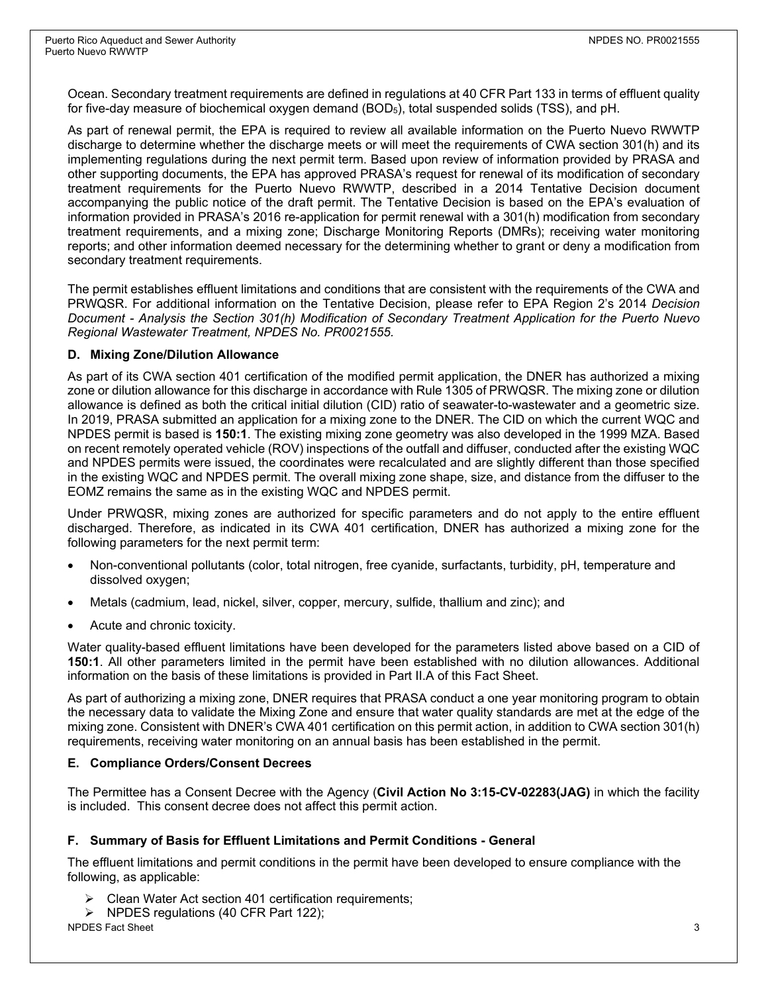Ocean. Secondary treatment requirements are defined in regulations at 40 CFR Part 133 in terms of effluent quality for five-day measure of biochemical oxygen demand (BOD5), total suspended solids (TSS), and pH.

As part of renewal permit, the EPA is required to review all available information on the Puerto Nuevo RWWTP discharge to determine whether the discharge meets or will meet the requirements of CWA section 301(h) and its implementing regulations during the next permit term. Based upon review of information provided by PRASA and other supporting documents, the EPA has approved PRASA's request for renewal of its modification of secondary treatment requirements for the Puerto Nuevo RWWTP, described in a 2014 Tentative Decision document accompanying the public notice of the draft permit. The Tentative Decision is based on the EPA's evaluation of information provided in PRASA's 2016 re-application for permit renewal with a 301(h) modification from secondary treatment requirements, and a mixing zone; Discharge Monitoring Reports (DMRs); receiving water monitoring reports; and other information deemed necessary for the determining whether to grant or deny a modification from secondary treatment requirements.

The permit establishes effluent limitations and conditions that are consistent with the requirements of the CWA and PRWQSR. For additional information on the Tentative Decision, please refer to EPA Region 2's 2014 *Decision Document - Analysis the Section 301(h) Modification of Secondary Treatment Application for the Puerto Nuevo Regional Wastewater Treatment, NPDES No. PR0021555.*

#### **D. Mixing Zone/Dilution Allowance**

As part of its CWA section 401 certification of the modified permit application, the DNER has authorized a mixing zone or dilution allowance for this discharge in accordance with Rule 1305 of PRWQSR. The mixing zone or dilution allowance is defined as both the critical initial dilution (CID) ratio of seawater-to-wastewater and a geometric size. In 2019, PRASA submitted an application for a mixing zone to the DNER. The CID on which the current WQC and NPDES permit is based is **150:1**. The existing mixing zone geometry was also developed in the 1999 MZA. Based on recent remotely operated vehicle (ROV) inspections of the outfall and diffuser, conducted after the existing WQC and NPDES permits were issued, the coordinates were recalculated and are slightly different than those specified in the existing WQC and NPDES permit. The overall mixing zone shape, size, and distance from the diffuser to the EOMZ remains the same as in the existing WQC and NPDES permit.

Under PRWQSR, mixing zones are authorized for specific parameters and do not apply to the entire effluent discharged. Therefore, as indicated in its CWA 401 certification, DNER has authorized a mixing zone for the following parameters for the next permit term:

- Non-conventional pollutants (color, total nitrogen, free cyanide, surfactants, turbidity, pH, temperature and dissolved oxygen;
- Metals (cadmium, lead, nickel, silver, copper, mercury, sulfide, thallium and zinc); and
- Acute and chronic toxicity.

Water quality-based effluent limitations have been developed for the parameters listed above based on a CID of **150:1**. All other parameters limited in the permit have been established with no dilution allowances. Additional information on the basis of these limitations is provided in Part II.A of this Fact Sheet.

As part of authorizing a mixing zone, DNER requires that PRASA conduct a one year monitoring program to obtain the necessary data to validate the Mixing Zone and ensure that water quality standards are met at the edge of the mixing zone. Consistent with DNER's CWA 401 certification on this permit action, in addition to CWA section 301(h) requirements, receiving water monitoring on an annual basis has been established in the permit.

#### **E. Compliance Orders/Consent Decrees**

The Permittee has a Consent Decree with the Agency (**Civil Action No 3:15-CV-02283(JAG)** in which the facility is included. This consent decree does not affect this permit action.

#### **F. Summary of Basis for Effluent Limitations and Permit Conditions - General**

The effluent limitations and permit conditions in the permit have been developed to ensure compliance with the following, as applicable:

- $\triangleright$  Clean Water Act section 401 certification requirements;
- $\triangleright$  NPDES regulations (40 CFR Part 122);

NPDES Fact Sheet 3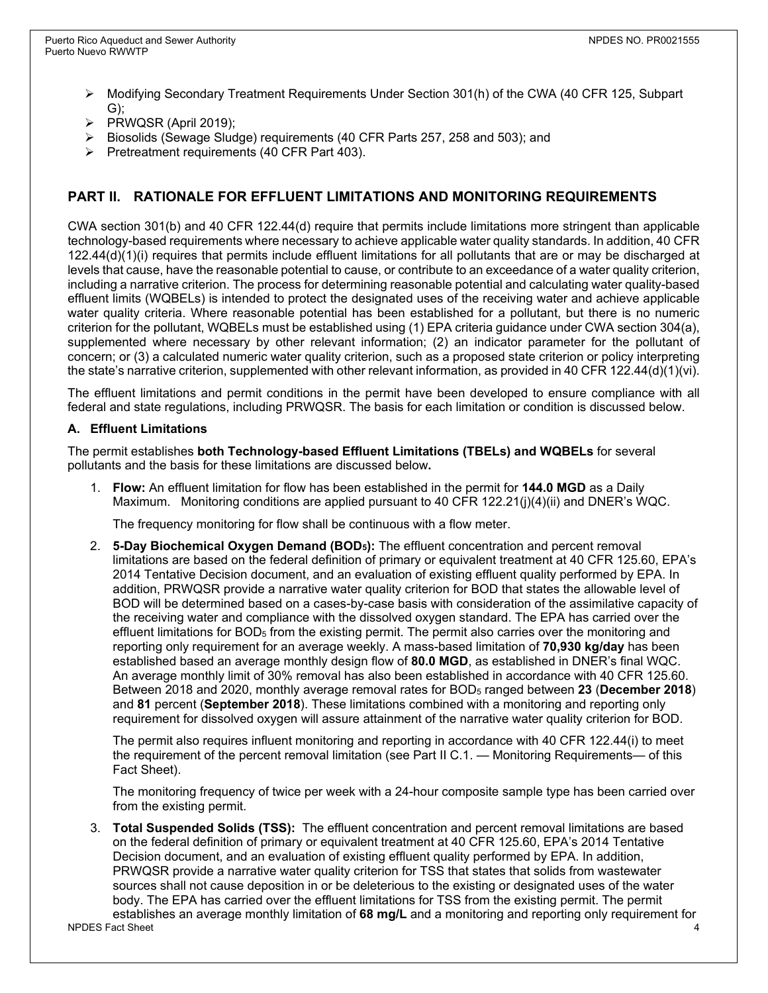- $\triangleright$  Modifying Secondary Treatment Requirements Under Section 301(h) of the CWA (40 CFR 125, Subpart G);
- PRWQSR (April 2019);
- Biosolids (Sewage Sludge) requirements (40 CFR Parts 257, 258 and 503); and
- $\triangleright$  Pretreatment requirements (40 CFR Part 403).

### **PART II. RATIONALE FOR EFFLUENT LIMITATIONS AND MONITORING REQUIREMENTS**

CWA section 301(b) and 40 CFR 122.44(d) require that permits include limitations more stringent than applicable technology-based requirements where necessary to achieve applicable water quality standards. In addition, 40 CFR 122.44(d)(1)(i) requires that permits include effluent limitations for all pollutants that are or may be discharged at levels that cause, have the reasonable potential to cause, or contribute to an exceedance of a water quality criterion, including a narrative criterion. The process for determining reasonable potential and calculating water quality-based effluent limits (WQBELs) is intended to protect the designated uses of the receiving water and achieve applicable water quality criteria. Where reasonable potential has been established for a pollutant, but there is no numeric criterion for the pollutant, WQBELs must be established using (1) EPA criteria guidance under CWA section 304(a), supplemented where necessary by other relevant information; (2) an indicator parameter for the pollutant of concern; or (3) a calculated numeric water quality criterion, such as a proposed state criterion or policy interpreting the state's narrative criterion, supplemented with other relevant information, as provided in 40 CFR 122.44(d)(1)(vi).

The effluent limitations and permit conditions in the permit have been developed to ensure compliance with all federal and state regulations, including PRWQSR. The basis for each limitation or condition is discussed below.

#### **A. Effluent Limitations**

The permit establishes **both Technology-based Effluent Limitations (TBELs) and WQBELs** for several pollutants and the basis for these limitations are discussed below**.** 

1. **Flow:** An effluent limitation for flow has been established in the permit for **144.0 MGD** as a Daily Maximum. Monitoring conditions are applied pursuant to 40 CFR 122.21(j)(4)(ii) and DNER's WQC.

The frequency monitoring for flow shall be continuous with a flow meter.

2. **5-Day Biochemical Oxygen Demand (BOD5):** The effluent concentration and percent removal limitations are based on the federal definition of primary or equivalent treatment at 40 CFR 125.60, EPA's 2014 Tentative Decision document, and an evaluation of existing effluent quality performed by EPA. In addition, PRWQSR provide a narrative water quality criterion for BOD that states the allowable level of BOD will be determined based on a cases-by-case basis with consideration of the assimilative capacity of the receiving water and compliance with the dissolved oxygen standard. The EPA has carried over the effluent limitations for BOD5 from the existing permit. The permit also carries over the monitoring and reporting only requirement for an average weekly. A mass-based limitation of **70,930 kg/day** has been established based an average monthly design flow of **80.0 MGD**, as established in DNER's final WQC. An average monthly limit of 30% removal has also been established in accordance with 40 CFR 125.60. Between 2018 and 2020, monthly average removal rates for BOD5 ranged between **23** (**December 2018**) and **81** percent (**September 2018**). These limitations combined with a monitoring and reporting only requirement for dissolved oxygen will assure attainment of the narrative water quality criterion for BOD.

The permit also requires influent monitoring and reporting in accordance with 40 CFR 122.44(i) to meet the requirement of the percent removal limitation (see Part II C.1. — Monitoring Requirements— of this Fact Sheet).

The monitoring frequency of twice per week with a 24-hour composite sample type has been carried over from the existing permit.

NPDES Fact Sheet 4 3. **Total Suspended Solids (TSS):** The effluent concentration and percent removal limitations are based on the federal definition of primary or equivalent treatment at 40 CFR 125.60, EPA's 2014 Tentative Decision document, and an evaluation of existing effluent quality performed by EPA. In addition, PRWQSR provide a narrative water quality criterion for TSS that states that solids from wastewater sources shall not cause deposition in or be deleterious to the existing or designated uses of the water body. The EPA has carried over the effluent limitations for TSS from the existing permit. The permit establishes an average monthly limitation of **68 mg/L** and a monitoring and reporting only requirement for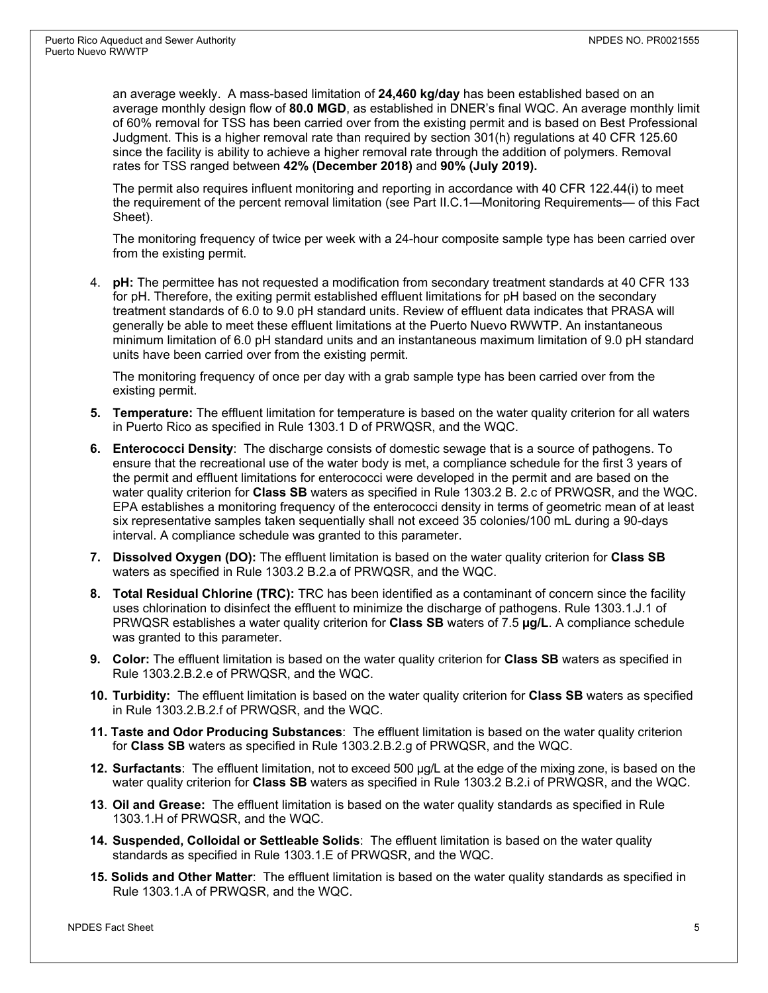an average weekly. A mass-based limitation of **24,460 kg/day** has been established based on an average monthly design flow of **80.0 MGD**, as established in DNER's final WQC. An average monthly limit of 60% removal for TSS has been carried over from the existing permit and is based on Best Professional Judgment. This is a higher removal rate than required by section 301(h) regulations at 40 CFR 125.60 since the facility is ability to achieve a higher removal rate through the addition of polymers. Removal rates for TSS ranged between **42% (December 2018)** and **90% (July 2019).**

The permit also requires influent monitoring and reporting in accordance with 40 CFR 122.44(i) to meet the requirement of the percent removal limitation (see Part II.C.1—Monitoring Requirements— of this Fact Sheet).

The monitoring frequency of twice per week with a 24-hour composite sample type has been carried over from the existing permit.

4. **pH:** The permittee has not requested a modification from secondary treatment standards at 40 CFR 133 for pH. Therefore, the exiting permit established effluent limitations for pH based on the secondary treatment standards of 6.0 to 9.0 pH standard units. Review of effluent data indicates that PRASA will generally be able to meet these effluent limitations at the Puerto Nuevo RWWTP. An instantaneous minimum limitation of 6.0 pH standard units and an instantaneous maximum limitation of 9.0 pH standard units have been carried over from the existing permit.

The monitoring frequency of once per day with a grab sample type has been carried over from the existing permit.

- **5. Temperature:** The effluent limitation for temperature is based on the water quality criterion for all waters in Puerto Rico as specified in Rule 1303.1 D of PRWQSR, and the WQC.
- **6. Enterococci Density**: The discharge consists of domestic sewage that is a source of pathogens. To ensure that the recreational use of the water body is met, a compliance schedule for the first 3 years of the permit and effluent limitations for enterococci were developed in the permit and are based on the water quality criterion for **Class SB** waters as specified in Rule 1303.2 B. 2.c of PRWQSR, and the WQC. EPA establishes a monitoring frequency of the enterococci density in terms of geometric mean of at least six representative samples taken sequentially shall not exceed 35 colonies/100 mL during a 90-days interval. A compliance schedule was granted to this parameter.
- **7. Dissolved Oxygen (DO):** The effluent limitation is based on the water quality criterion for **Class SB** waters as specified in Rule 1303.2 B.2.a of PRWQSR, and the WQC.
- **8. Total Residual Chlorine (TRC):** TRC has been identified as a contaminant of concern since the facility uses chlorination to disinfect the effluent to minimize the discharge of pathogens. Rule 1303.1.J.1 of PRWQSR establishes a water quality criterion for **Class SB** waters of 7.5 **µg/L**. A compliance schedule was granted to this parameter.
- **9. Color:** The effluent limitation is based on the water quality criterion for **Class SB** waters as specified in Rule 1303.2.B.2.e of PRWQSR, and the WQC.
- **10. Turbidity:** The effluent limitation is based on the water quality criterion for **Class SB** waters as specified in Rule 1303.2.B.2.f of PRWQSR, and the WQC.
- **11. Taste and Odor Producing Substances**: The effluent limitation is based on the water quality criterion for **Class SB** waters as specified in Rule 1303.2.B.2.g of PRWQSR, and the WQC.
- **12. Surfactants**: The effluent limitation, not to exceed 500 µg/L at the edge of the mixing zone, is based on the water quality criterion for **Class SB** waters as specified in Rule 1303.2 B.2.i of PRWQSR, and the WQC.
- **13**. **Oil and Grease:** The effluent limitation is based on the water quality standards as specified in Rule 1303.1.H of PRWQSR, and the WQC.
- **14. Suspended, Colloidal or Settleable Solids**: The effluent limitation is based on the water quality standards as specified in Rule 1303.1.E of PRWQSR, and the WQC.
- **15. Solids and Other Matter**: The effluent limitation is based on the water quality standards as specified in Rule 1303.1.A of PRWQSR, and the WQC.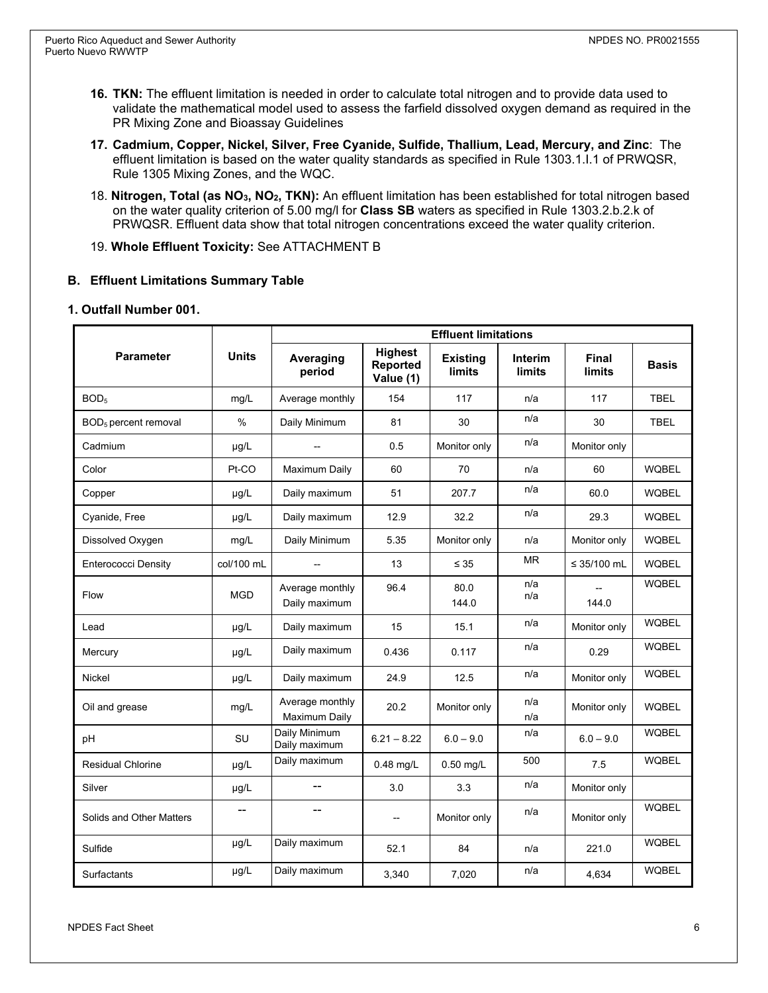- **16. TKN:** The effluent limitation is needed in order to calculate total nitrogen and to provide data used to validate the mathematical model used to assess the farfield dissolved oxygen demand as required in the PR Mixing Zone and Bioassay Guidelines
- **17. Cadmium, Copper, Nickel, Silver, Free Cyanide, Sulfide, Thallium, Lead, Mercury, and Zinc**: The effluent limitation is based on the water quality standards as specified in Rule 1303.1.I.1 of PRWQSR, Rule 1305 Mixing Zones, and the WQC.
- 18. **Nitrogen, Total (as NO3, NO2, TKN):** An effluent limitation has been established for total nitrogen based on the water quality criterion of 5.00 mg/l for **Class SB** waters as specified in Rule 1303.2.b.2.k of PRWQSR. Effluent data show that total nitrogen concentrations exceed the water quality criterion.
- 19. **Whole Effluent Toxicity:** See ATTACHMENT B

#### **B. Effluent Limitations Summary Table**

#### **1. Outfall Number 001.**

|                                  |              | <b>Effluent limitations</b>      |                                         |                                  |                          |                 |              |  |
|----------------------------------|--------------|----------------------------------|-----------------------------------------|----------------------------------|--------------------------|-----------------|--------------|--|
| <b>Parameter</b>                 | <b>Units</b> | Averaging<br>period              | <b>Highest</b><br>Reported<br>Value (1) | <b>Existing</b><br><b>limits</b> | Interim<br><b>limits</b> | Final<br>limits | <b>Basis</b> |  |
| BOD <sub>5</sub>                 | mg/L         | Average monthly                  | 154                                     | 117                              | n/a                      | 117             | <b>TBEL</b>  |  |
| BOD <sub>5</sub> percent removal | $\%$         | Daily Minimum                    | 81                                      | 30                               | n/a                      | 30              | <b>TBEL</b>  |  |
| Cadmium                          | $\mu$ g/L    | --                               | 0.5                                     | Monitor only                     | n/a                      | Monitor only    |              |  |
| Color                            | Pt-CO        | Maximum Daily                    | 60                                      | 70                               | n/a                      | 60              | <b>WQBEL</b> |  |
| Copper                           | µg/L         | Daily maximum                    | 51                                      | 207.7                            | n/a                      | 60.0            | <b>WQBEL</b> |  |
| Cyanide, Free                    | $\mu$ g/L    | Daily maximum                    | 12.9                                    | 32.2                             | n/a                      | 29.3            | <b>WQBEL</b> |  |
| Dissolved Oxygen                 | mg/L         | Daily Minimum                    | 5.35                                    | Monitor only                     | n/a                      | Monitor only    | <b>WQBEL</b> |  |
| <b>Enterococci Density</b>       | col/100 mL   |                                  | 13                                      | $\leq 35$                        | <b>MR</b>                | ≤ 35/100 mL     | <b>WQBEL</b> |  |
| Flow                             | <b>MGD</b>   | Average monthly<br>Daily maximum | 96.4                                    | 80.0<br>144.0                    | n/a<br>n/a               | 144.0           | <b>WQBEL</b> |  |
| Lead                             | µg/L         | Daily maximum                    | 15                                      | 15.1                             | n/a                      | Monitor only    | <b>WQBEL</b> |  |
| Mercury                          | µg/L         | Daily maximum                    | 0.436                                   | 0.117                            | n/a                      | 0.29            | <b>WQBEL</b> |  |
| Nickel                           | µg/L         | Daily maximum                    | 24.9                                    | 12.5                             | n/a                      | Monitor only    | <b>WQBEL</b> |  |
| Oil and grease                   | mg/L         | Average monthly<br>Maximum Daily | 20.2                                    | Monitor only                     | n/a<br>n/a               | Monitor only    | <b>WQBEL</b> |  |
| рH                               | SU           | Daily Minimum<br>Daily maximum   | $6.21 - 8.22$                           | $6.0 - 9.0$                      | n/a                      | $6.0 - 9.0$     | <b>WQBEL</b> |  |
| <b>Residual Chlorine</b>         | $\mu$ g/L    | Daily maximum                    | $0.48$ mg/L                             | $0.50$ mg/L                      | 500                      | 7.5             | <b>WQBEL</b> |  |
| Silver                           | µg/L         | --                               | 3.0                                     | 3.3                              | n/a                      | Monitor only    |              |  |
| Solids and Other Matters         | --           | --                               | --                                      | Monitor only                     | n/a                      | Monitor only    | <b>WQBEL</b> |  |
| Sulfide                          | µg/L         | Daily maximum                    | 52.1                                    | 84                               | n/a                      | 221.0           | <b>WQBEL</b> |  |
| Surfactants                      | µg/L         | Daily maximum                    | 3,340                                   | 7,020                            | n/a                      | 4,634           | <b>WQBEL</b> |  |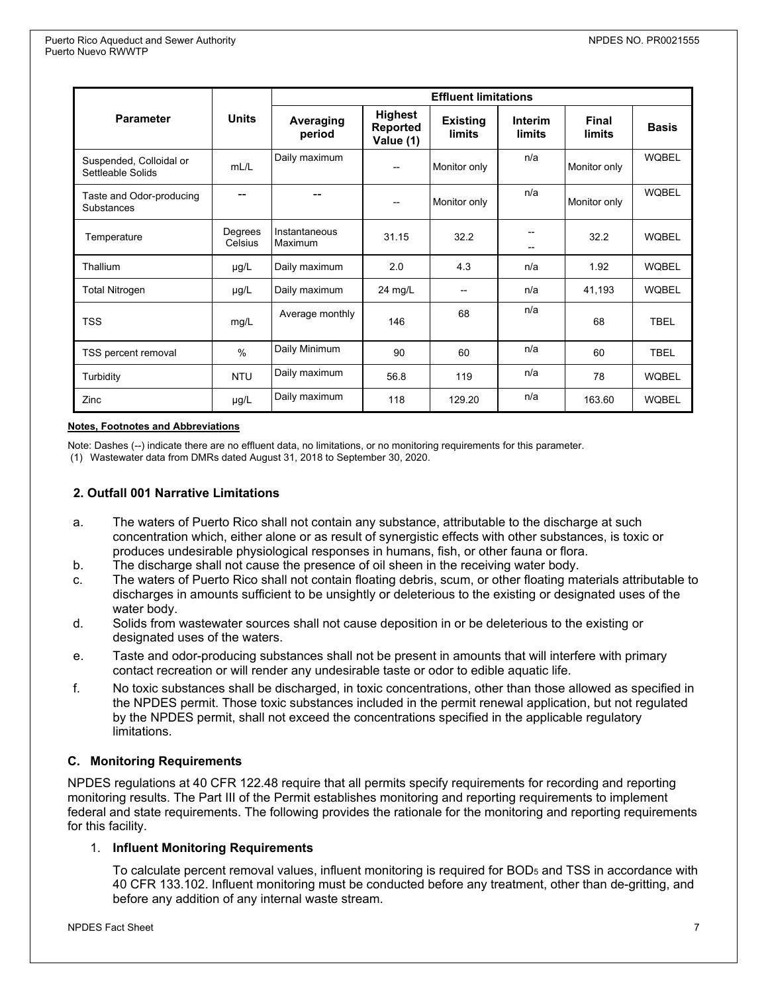|                                              | <b>Units</b>       | <b>Effluent limitations</b> |                                                |                                  |                          |                        |              |  |
|----------------------------------------------|--------------------|-----------------------------|------------------------------------------------|----------------------------------|--------------------------|------------------------|--------------|--|
| <b>Parameter</b>                             |                    | Averaging<br>period         | <b>Highest</b><br><b>Reported</b><br>Value (1) | <b>Existing</b><br><b>limits</b> | <b>Interim</b><br>limits | Final<br><b>limits</b> | <b>Basis</b> |  |
| Suspended, Colloidal or<br>Settleable Solids | mL/L               | Daily maximum               |                                                | Monitor only                     | n/a                      | Monitor only           | <b>WQBEL</b> |  |
| Taste and Odor-producing<br>Substances       |                    |                             | $\overline{\phantom{a}}$                       | Monitor only                     | n/a                      | Monitor only           | <b>WQBEL</b> |  |
| Temperature                                  | Degrees<br>Celsius | Instantaneous<br>Maximum    | 31.15                                          | 32.2                             |                          | 32.2                   | <b>WQBEL</b> |  |
| Thallium                                     | $\mu$ g/L          | Daily maximum               | 2.0                                            | 4.3                              | n/a                      | 1.92                   | <b>WQBEL</b> |  |
| <b>Total Nitrogen</b>                        | $\mu$ g/L          | Daily maximum               | $24$ mg/L                                      | --                               | n/a                      | 41,193                 | <b>WQBEL</b> |  |
| <b>TSS</b>                                   | mg/L               | Average monthly             | 146                                            | 68                               | n/a                      | 68                     | <b>TBEL</b>  |  |
| TSS percent removal                          | $\frac{0}{0}$      | Daily Minimum               | 90                                             | 60                               | n/a                      | 60                     | <b>TBEL</b>  |  |
| Turbidity                                    | <b>NTU</b>         | Daily maximum               | 56.8                                           | 119                              | n/a                      | 78                     | <b>WQBEL</b> |  |
| Zinc                                         | $\mu$ g/L          | Daily maximum               | 118                                            | 129.20                           | n/a                      | 163.60                 | <b>WQBEL</b> |  |

#### **Notes, Footnotes and Abbreviations**

Note: Dashes (--) indicate there are no effluent data, no limitations, or no monitoring requirements for this parameter.

(1) Wastewater data from DMRs dated August 31, 2018 to September 30, 2020.

#### **2. Outfall 001 Narrative Limitations**

- a. The waters of Puerto Rico shall not contain any substance, attributable to the discharge at such concentration which, either alone or as result of synergistic effects with other substances, is toxic or produces undesirable physiological responses in humans, fish, or other fauna or flora.
- b. The discharge shall not cause the presence of oil sheen in the receiving water body.
- c. The waters of Puerto Rico shall not contain floating debris, scum, or other floating materials attributable to discharges in amounts sufficient to be unsightly or deleterious to the existing or designated uses of the water body.
- d. Solids from wastewater sources shall not cause deposition in or be deleterious to the existing or designated uses of the waters.
- e. Taste and odor-producing substances shall not be present in amounts that will interfere with primary contact recreation or will render any undesirable taste or odor to edible aquatic life.
- f. No toxic substances shall be discharged, in toxic concentrations, other than those allowed as specified in the NPDES permit. Those toxic substances included in the permit renewal application, but not regulated by the NPDES permit, shall not exceed the concentrations specified in the applicable regulatory limitations.

#### **C. Monitoring Requirements**

NPDES regulations at 40 CFR 122.48 require that all permits specify requirements for recording and reporting monitoring results. The Part III of the Permit establishes monitoring and reporting requirements to implement federal and state requirements. The following provides the rationale for the monitoring and reporting requirements for this facility.

#### 1. **Influent Monitoring Requirements**

To calculate percent removal values, influent monitoring is required for BOD<sub>5</sub> and TSS in accordance with 40 CFR 133.102. Influent monitoring must be conducted before any treatment, other than de-gritting, and before any addition of any internal waste stream.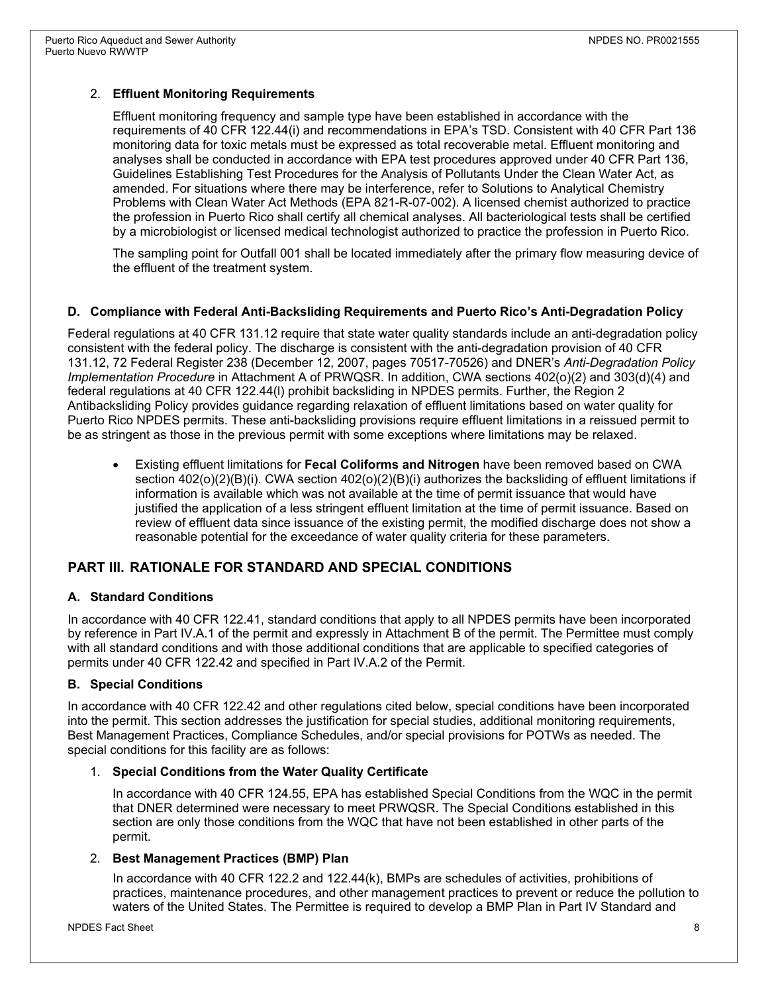#### 2. **Effluent Monitoring Requirements**

Effluent monitoring frequency and sample type have been established in accordance with the requirements of 40 CFR 122.44(i) and recommendations in EPA's TSD. Consistent with 40 CFR Part 136 monitoring data for toxic metals must be expressed as total recoverable metal. Effluent monitoring and analyses shall be conducted in accordance with EPA test procedures approved under 40 CFR Part 136, Guidelines Establishing Test Procedures for the Analysis of Pollutants Under the Clean Water Act, as amended. For situations where there may be interference, refer to Solutions to Analytical Chemistry Problems with Clean Water Act Methods (EPA 821-R-07-002). A licensed chemist authorized to practice the profession in Puerto Rico shall certify all chemical analyses. All bacteriological tests shall be certified by a microbiologist or licensed medical technologist authorized to practice the profession in Puerto Rico.

The sampling point for Outfall 001 shall be located immediately after the primary flow measuring device of the effluent of the treatment system.

#### **D. Compliance with Federal Anti-Backsliding Requirements and Puerto Rico's Anti-Degradation Policy**

Federal regulations at 40 CFR 131.12 require that state water quality standards include an anti-degradation policy consistent with the federal policy. The discharge is consistent with the anti-degradation provision of 40 CFR 131.12, 72 Federal Register 238 (December 12, 2007, pages 70517-70526) and DNER's *Anti-Degradation Policy Implementation Procedure* in Attachment A of PRWQSR. In addition, CWA sections 402(o)(2) and 303(d)(4) and federal regulations at 40 CFR 122.44(l) prohibit backsliding in NPDES permits. Further, the Region 2 Antibacksliding Policy provides guidance regarding relaxation of effluent limitations based on water quality for Puerto Rico NPDES permits. These anti-backsliding provisions require effluent limitations in a reissued permit to be as stringent as those in the previous permit with some exceptions where limitations may be relaxed.

• Existing effluent limitations for **Fecal Coliforms and Nitrogen** have been removed based on CWA section 402(o)(2)(B)(i). CWA section 402(o)(2)(B)(i) authorizes the backsliding of effluent limitations if information is available which was not available at the time of permit issuance that would have justified the application of a less stringent effluent limitation at the time of permit issuance. Based on review of effluent data since issuance of the existing permit, the modified discharge does not show a reasonable potential for the exceedance of water quality criteria for these parameters.

#### **PART III. RATIONALE FOR STANDARD AND SPECIAL CONDITIONS**

#### **A. Standard Conditions**

In accordance with 40 CFR 122.41, standard conditions that apply to all NPDES permits have been incorporated by reference in Part IV.A.1 of the permit and expressly in Attachment B of the permit. The Permittee must comply with all standard conditions and with those additional conditions that are applicable to specified categories of permits under 40 CFR 122.42 and specified in Part IV.A.2 of the Permit.

#### **B. Special Conditions**

In accordance with 40 CFR 122.42 and other regulations cited below, special conditions have been incorporated into the permit. This section addresses the justification for special studies, additional monitoring requirements, Best Management Practices, Compliance Schedules, and/or special provisions for POTWs as needed. The special conditions for this facility are as follows:

#### 1. **Special Conditions from the Water Quality Certificate**

In accordance with 40 CFR 124.55, EPA has established Special Conditions from the WQC in the permit that DNER determined were necessary to meet PRWQSR. The Special Conditions established in this section are only those conditions from the WQC that have not been established in other parts of the permit.

#### 2. **Best Management Practices (BMP) Plan**

In accordance with 40 CFR 122.2 and 122.44(k), BMPs are schedules of activities, prohibitions of practices, maintenance procedures, and other management practices to prevent or reduce the pollution to waters of the United States. The Permittee is required to develop a BMP Plan in Part IV Standard and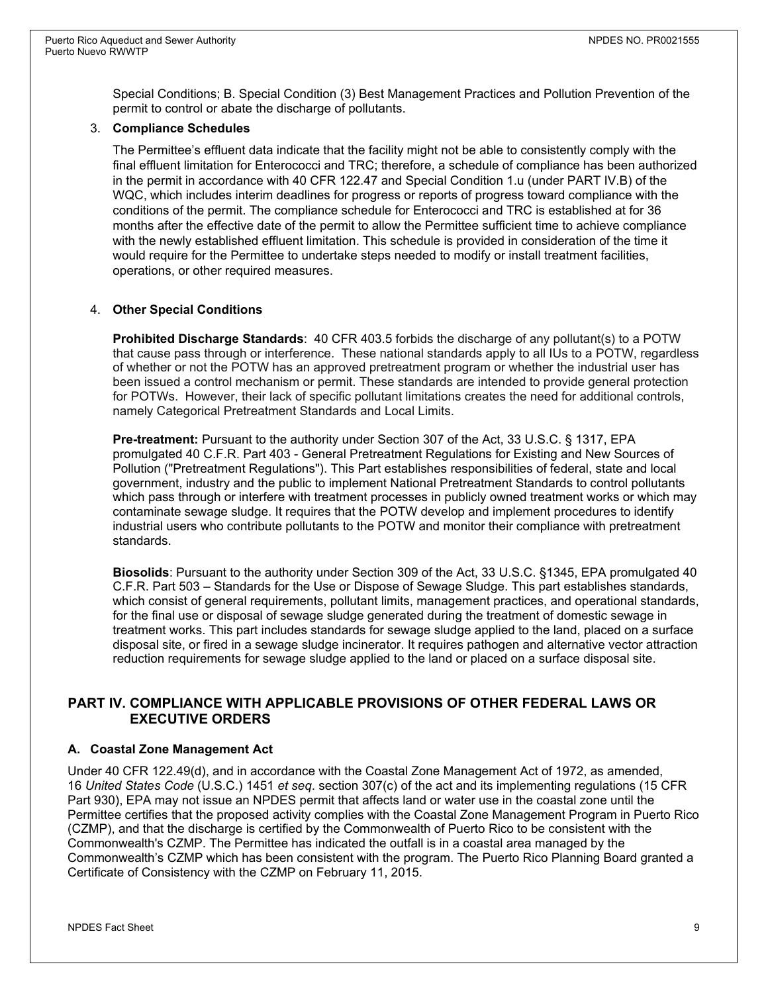Special Conditions; B. Special Condition (3) Best Management Practices and Pollution Prevention of the permit to control or abate the discharge of pollutants.

#### 3. **Compliance Schedules**

The Permittee's effluent data indicate that the facility might not be able to consistently comply with the final effluent limitation for Enterococci and TRC; therefore, a schedule of compliance has been authorized in the permit in accordance with 40 CFR 122.47 and Special Condition 1.u (under PART IV.B) of the WQC, which includes interim deadlines for progress or reports of progress toward compliance with the conditions of the permit. The compliance schedule for Enterococci and TRC is established at for 36 months after the effective date of the permit to allow the Permittee sufficient time to achieve compliance with the newly established effluent limitation. This schedule is provided in consideration of the time it would require for the Permittee to undertake steps needed to modify or install treatment facilities, operations, or other required measures.

#### 4. **Other Special Conditions**

**Prohibited Discharge Standards**: 40 CFR 403.5 forbids the discharge of any pollutant(s) to a POTW that cause pass through or interference. These national standards apply to all IUs to a POTW, regardless of whether or not the POTW has an approved pretreatment program or whether the industrial user has been issued a control mechanism or permit. These standards are intended to provide general protection for POTWs. However, their lack of specific pollutant limitations creates the need for additional controls, namely Categorical Pretreatment Standards and Local Limits.

**Pre-treatment:** Pursuant to the authority under Section 307 of the Act, 33 U.S.C. § 1317, EPA promulgated 40 C.F.R. Part 403 - General Pretreatment Regulations for Existing and New Sources of Pollution ("Pretreatment Regulations"). This Part establishes responsibilities of federal, state and local government, industry and the public to implement National Pretreatment Standards to control pollutants which pass through or interfere with treatment processes in publicly owned treatment works or which may contaminate sewage sludge. It requires that the POTW develop and implement procedures to identify industrial users who contribute pollutants to the POTW and monitor their compliance with pretreatment standards.

**Biosolids**: Pursuant to the authority under Section 309 of the Act, 33 U.S.C. §1345, EPA promulgated 40 C.F.R. Part 503 – Standards for the Use or Dispose of Sewage Sludge. This part establishes standards, which consist of general requirements, pollutant limits, management practices, and operational standards, for the final use or disposal of sewage sludge generated during the treatment of domestic sewage in treatment works. This part includes standards for sewage sludge applied to the land, placed on a surface disposal site, or fired in a sewage sludge incinerator. It requires pathogen and alternative vector attraction reduction requirements for sewage sludge applied to the land or placed on a surface disposal site.

#### **PART IV. COMPLIANCE WITH APPLICABLE PROVISIONS OF OTHER FEDERAL LAWS OR EXECUTIVE ORDERS**

#### **A. Coastal Zone Management Act**

Under 40 CFR 122.49(d), and in accordance with the Coastal Zone Management Act of 1972, as amended, 16 *United States Code* (U.S.C.) 1451 *et seq*. section 307(c) of the act and its implementing regulations (15 CFR Part 930), EPA may not issue an NPDES permit that affects land or water use in the coastal zone until the Permittee certifies that the proposed activity complies with the Coastal Zone Management Program in Puerto Rico (CZMP), and that the discharge is certified by the Commonwealth of Puerto Rico to be consistent with the Commonwealth's CZMP. The Permittee has indicated the outfall is in a coastal area managed by the Commonwealth's CZMP which has been consistent with the program. The Puerto Rico Planning Board granted a Certificate of Consistency with the CZMP on February 11, 2015.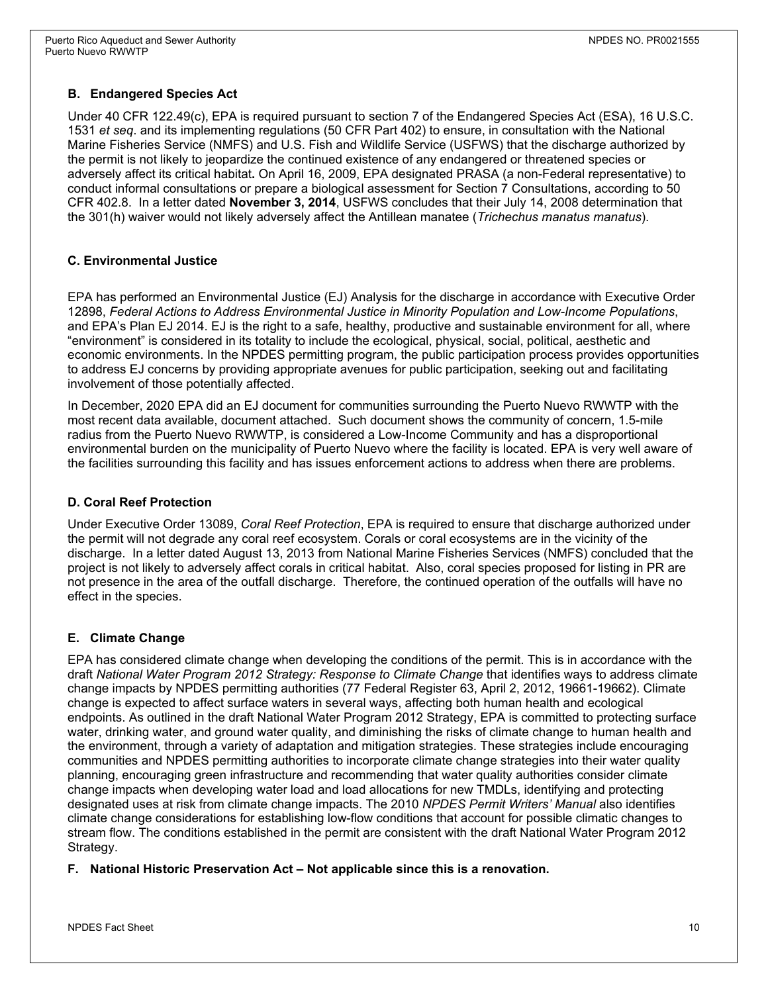### **B. Endangered Species Act**

Under 40 CFR 122.49(c), EPA is required pursuant to section 7 of the Endangered Species Act (ESA), 16 U.S.C. 1531 *et seq*. and its implementing regulations (50 CFR Part 402) to ensure, in consultation with the National Marine Fisheries Service (NMFS) and U.S. Fish and Wildlife Service (USFWS) that the discharge authorized by the permit is not likely to jeopardize the continued existence of any endangered or threatened species or adversely affect its critical habitat**.** On April 16, 2009, EPA designated PRASA (a non-Federal representative) to conduct informal consultations or prepare a biological assessment for Section 7 Consultations, according to 50 CFR 402.8. In a letter dated **November 3, 2014**, USFWS concludes that their July 14, 2008 determination that the 301(h) waiver would not likely adversely affect the Antillean manatee (*Trichechus manatus manatus*).

#### **C. Environmental Justice**

EPA has performed an Environmental Justice (EJ) Analysis for the discharge in accordance with Executive Order 12898, *Federal Actions to Address Environmental Justice in Minority Population and Low-Income Populations*, and EPA's Plan EJ 2014. EJ is the right to a safe, healthy, productive and sustainable environment for all, where "environment" is considered in its totality to include the ecological, physical, social, political, aesthetic and economic environments. In the NPDES permitting program, the public participation process provides opportunities to address EJ concerns by providing appropriate avenues for public participation, seeking out and facilitating involvement of those potentially affected.

In December, 2020 EPA did an EJ document for communities surrounding the Puerto Nuevo RWWTP with the most recent data available, document attached. Such document shows the community of concern, 1.5-mile radius from the Puerto Nuevo RWWTP, is considered a Low-Income Community and has a disproportional environmental burden on the municipality of Puerto Nuevo where the facility is located. EPA is very well aware of the facilities surrounding this facility and has issues enforcement actions to address when there are problems.

### **D. Coral Reef Protection**

Under Executive Order 13089, *Coral Reef Protection*, EPA is required to ensure that discharge authorized under the permit will not degrade any coral reef ecosystem. Corals or coral ecosystems are in the vicinity of the discharge. In a letter dated August 13, 2013 from National Marine Fisheries Services (NMFS) concluded that the project is not likely to adversely affect corals in critical habitat. Also, coral species proposed for listing in PR are not presence in the area of the outfall discharge. Therefore, the continued operation of the outfalls will have no effect in the species.

### **E. Climate Change**

EPA has considered climate change when developing the conditions of the permit. This is in accordance with the draft *National Water Program 2012 Strategy: Response to Climate Change* that identifies ways to address climate change impacts by NPDES permitting authorities (77 Federal Register 63, April 2, 2012, 19661-19662). Climate change is expected to affect surface waters in several ways, affecting both human health and ecological endpoints. As outlined in the draft National Water Program 2012 Strategy, EPA is committed to protecting surface water, drinking water, and ground water quality, and diminishing the risks of climate change to human health and the environment, through a variety of adaptation and mitigation strategies. These strategies include encouraging communities and NPDES permitting authorities to incorporate climate change strategies into their water quality planning, encouraging green infrastructure and recommending that water quality authorities consider climate change impacts when developing water load and load allocations for new TMDLs, identifying and protecting designated uses at risk from climate change impacts. The 2010 *NPDES Permit Writers' Manual* also identifies climate change considerations for establishing low-flow conditions that account for possible climatic changes to stream flow. The conditions established in the permit are consistent with the draft National Water Program 2012 Strategy.

**F. National Historic Preservation Act – Not applicable since this is a renovation.**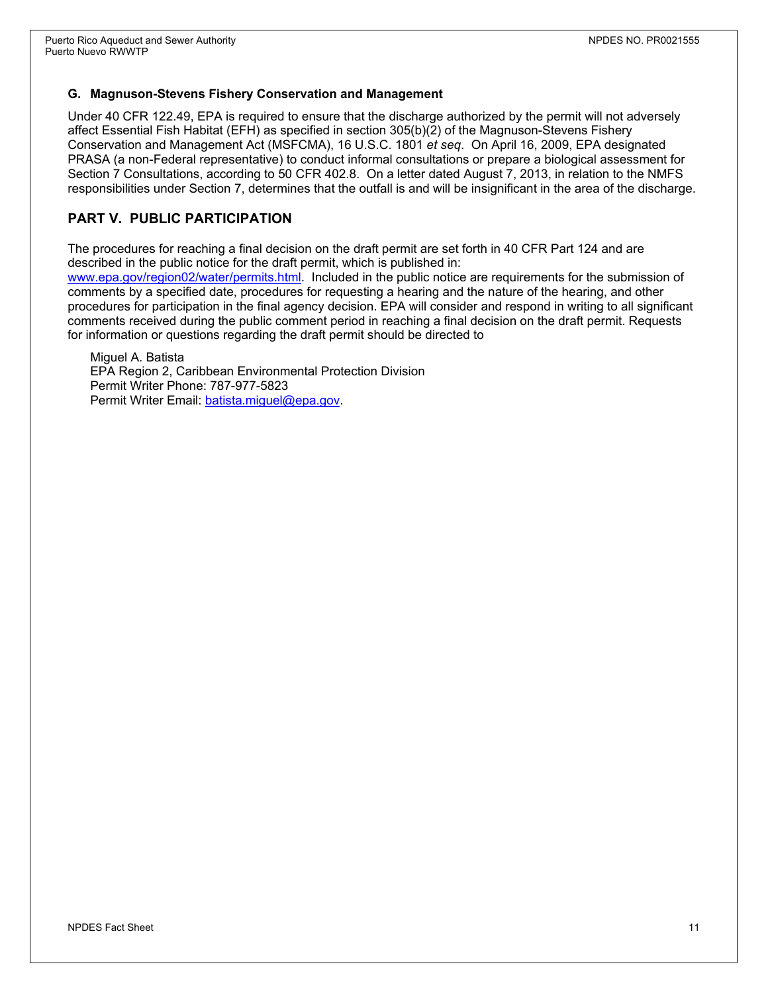#### **G. Magnuson-Stevens Fishery Conservation and Management**

Under 40 CFR 122.49, EPA is required to ensure that the discharge authorized by the permit will not adversely affect Essential Fish Habitat (EFH) as specified in section 305(b)(2) of the Magnuson-Stevens Fishery Conservation and Management Act (MSFCMA), 16 U.S.C. 1801 *et seq*. On April 16, 2009, EPA designated PRASA (a non-Federal representative) to conduct informal consultations or prepare a biological assessment for Section 7 Consultations, according to 50 CFR 402.8. On a letter dated August 7, 2013, in relation to the NMFS responsibilities under Section 7, determines that the outfall is and will be insignificant in the area of the discharge.

### **PART V. PUBLIC PARTICIPATION**

The procedures for reaching a final decision on the draft permit are set forth in 40 CFR Part 124 and are described in the public notice for the draft permit, which is published in:

[www.epa.gov/region02/water/permits.html.](http://www.epa.gov/region02/water/permits.html) Included in the public notice are requirements for the submission of comments by a specified date, procedures for requesting a hearing and the nature of the hearing, and other procedures for participation in the final agency decision. EPA will consider and respond in writing to all significant comments received during the public comment period in reaching a final decision on the draft permit. Requests for information or questions regarding the draft permit should be directed to

Miguel A. Batista EPA Region 2, Caribbean Environmental Protection Division Permit Writer Phone: 787-977-5823 Permit Writer Email: batista.miquel@epa.gov.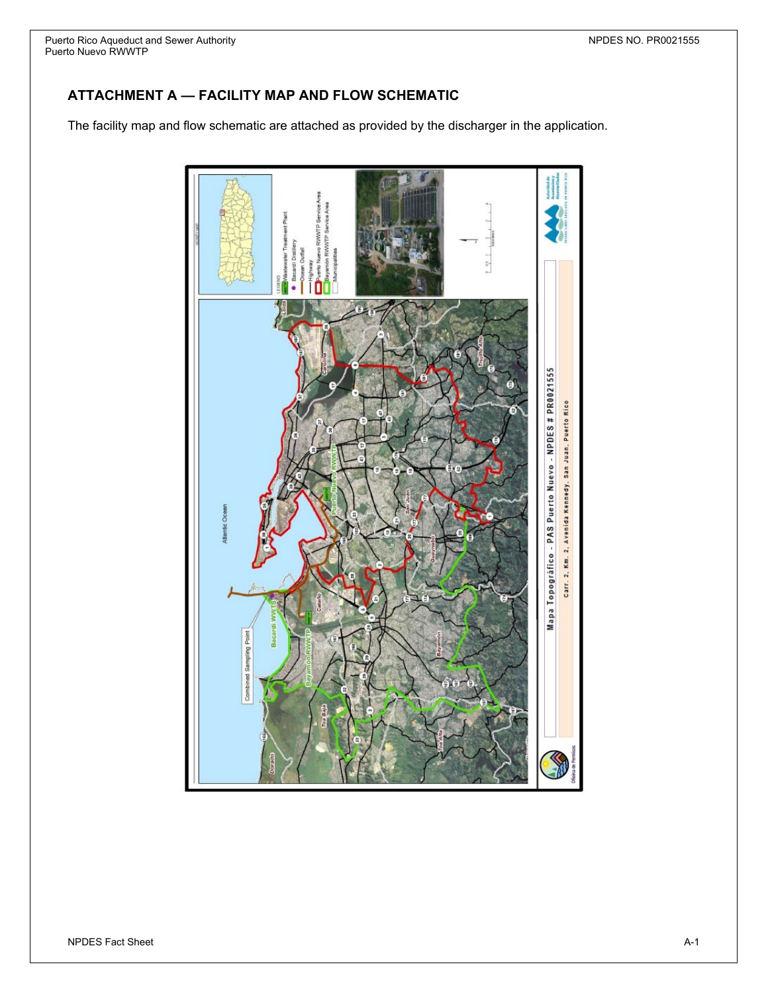## **ATTACHMENT A — FACILITY MAP AND FLOW SCHEMATIC**

The facility map and flow schematic are attached as provided by the discharger in the application.

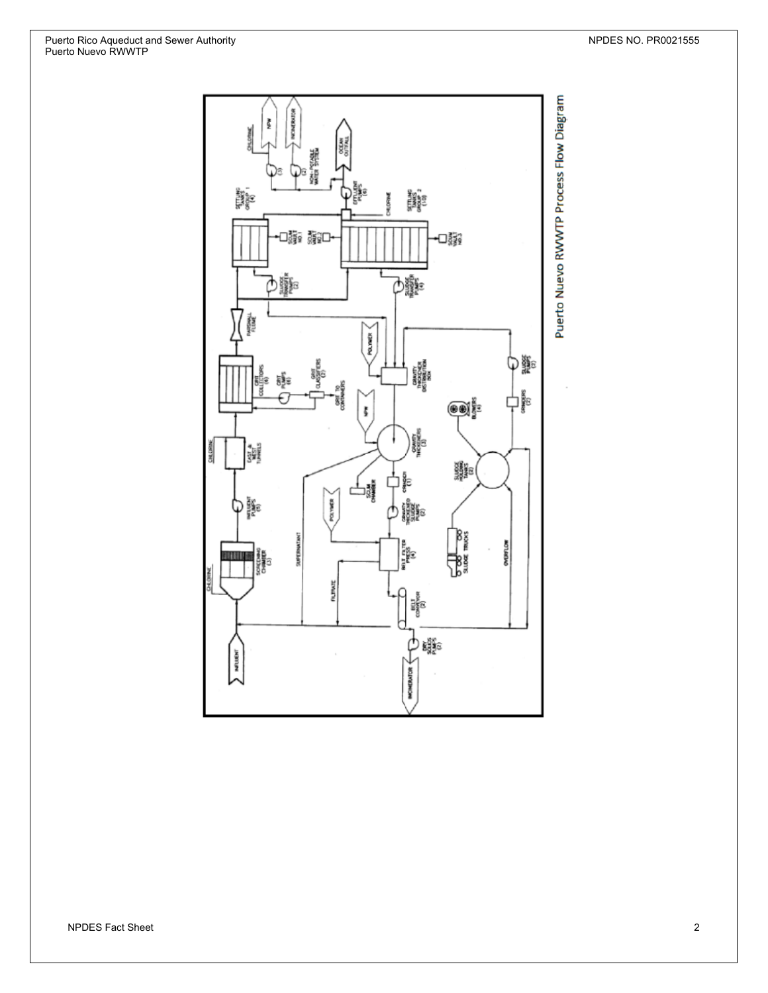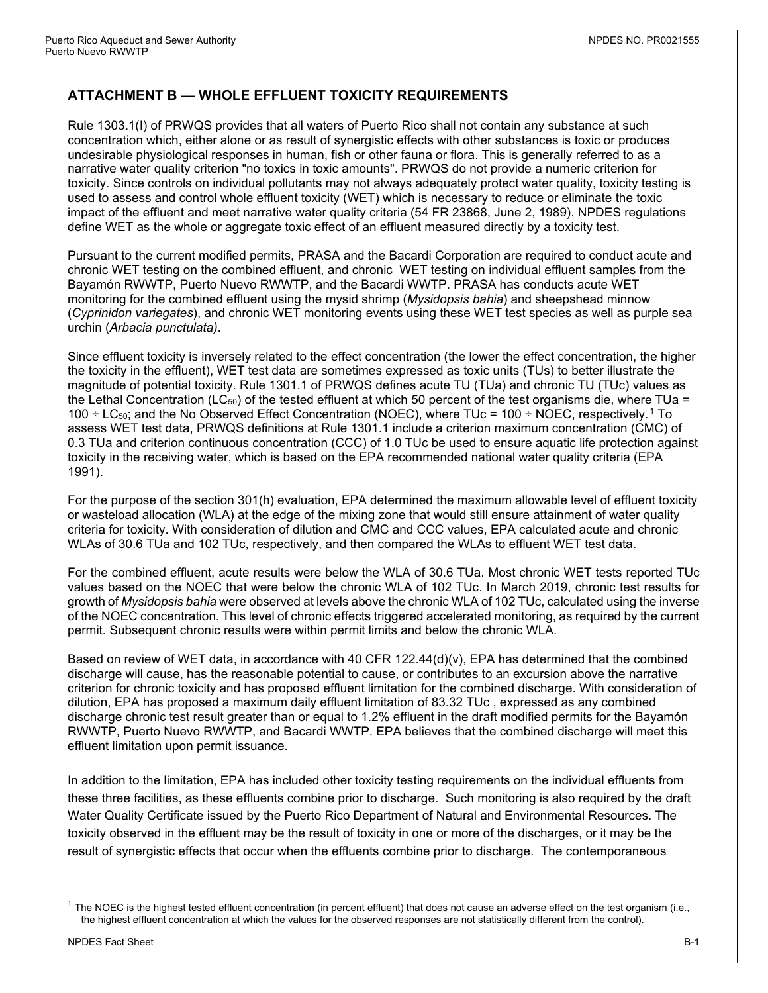### **ATTACHMENT B — WHOLE EFFLUENT TOXICITY REQUIREMENTS**

Rule 1303.1(I) of PRWQS provides that all waters of Puerto Rico shall not contain any substance at such concentration which, either alone or as result of synergistic effects with other substances is toxic or produces undesirable physiological responses in human, fish or other fauna or flora. This is generally referred to as a narrative water quality criterion "no toxics in toxic amounts". PRWQS do not provide a numeric criterion for toxicity. Since controls on individual pollutants may not always adequately protect water quality, toxicity testing is used to assess and control whole effluent toxicity (WET) which is necessary to reduce or eliminate the toxic impact of the effluent and meet narrative water quality criteria (54 FR 23868, June 2, 1989). NPDES regulations define WET as the whole or aggregate toxic effect of an effluent measured directly by a toxicity test.

Pursuant to the current modified permits, PRASA and the Bacardi Corporation are required to conduct acute and chronic WET testing on the combined effluent, and chronic WET testing on individual effluent samples from the Bayamón RWWTP, Puerto Nuevo RWWTP, and the Bacardi WWTP. PRASA has conducts acute WET monitoring for the combined effluent using the mysid shrimp (*Mysidopsis bahia*) and sheepshead minnow (*Cyprinidon variegates*), and chronic WET monitoring events using these WET test species as well as purple sea urchin (*Arbacia punctulata)*.

Since effluent toxicity is inversely related to the effect concentration (the lower the effect concentration, the higher the toxicity in the effluent), WET test data are sometimes expressed as toxic units (TUs) to better illustrate the magnitude of potential toxicity. Rule 1301.1 of PRWQS defines acute TU (TUa) and chronic TU (TUc) values as the Lethal Concentration (LC $_{50}$ ) of the tested effluent at which 50 percent of the test organisms die, where TUa = 100  $\div$  LC<sub>50</sub>; and the No Observed Effect Concentration (NOEC), where TUc = 100  $\div$  NOEC, respectively.<sup>1</sup> To assess WET test data, PRWQS definitions at Rule 1301.1 include a criterion maximum concentration (CMC) of 0.3 TUa and criterion continuous concentration (CCC) of 1.0 TUc be used to ensure aquatic life protection against toxicity in the receiving water, which is based on the EPA recommended national water quality criteria (EPA 1991).

For the purpose of the section 301(h) evaluation, EPA determined the maximum allowable level of effluent toxicity or wasteload allocation (WLA) at the edge of the mixing zone that would still ensure attainment of water quality criteria for toxicity. With consideration of dilution and CMC and CCC values, EPA calculated acute and chronic WLAs of 30.6 TUa and 102 TUc, respectively, and then compared the WLAs to effluent WET test data.

For the combined effluent, acute results were below the WLA of 30.6 TUa. Most chronic WET tests reported TUc values based on the NOEC that were below the chronic WLA of 102 TUc. In March 2019, chronic test results for growth of *Mysidopsis bahia* were observed at levels above the chronic WLA of 102 TUc, calculated using the inverse of the NOEC concentration. This level of chronic effects triggered accelerated monitoring, as required by the current permit. Subsequent chronic results were within permit limits and below the chronic WLA.

Based on review of WET data, in accordance with 40 CFR 122.44(d)(v), EPA has determined that the combined discharge will cause, has the reasonable potential to cause, or contributes to an excursion above the narrative criterion for chronic toxicity and has proposed effluent limitation for the combined discharge. With consideration of dilution, EPA has proposed a maximum daily effluent limitation of 83.32 TUc , expressed as any combined discharge chronic test result greater than or equal to 1.2% effluent in the draft modified permits for the Bayamón RWWTP, Puerto Nuevo RWWTP, and Bacardi WWTP. EPA believes that the combined discharge will meet this effluent limitation upon permit issuance.

In addition to the limitation, EPA has included other toxicity testing requirements on the individual effluents from these three facilities, as these effluents combine prior to discharge. Such monitoring is also required by the draft Water Quality Certificate issued by the Puerto Rico Department of Natural and Environmental Resources. The toxicity observed in the effluent may be the result of toxicity in one or more of the discharges, or it may be the result of synergistic effects that occur when the effluents combine prior to discharge. The contemporaneous

 $1$  The NOEC is the highest tested effluent concentration (in percent effluent) that does not cause an adverse effect on the test organism (i.e., the highest effluent concentration at which the values for the observed responses are not statistically different from the control).